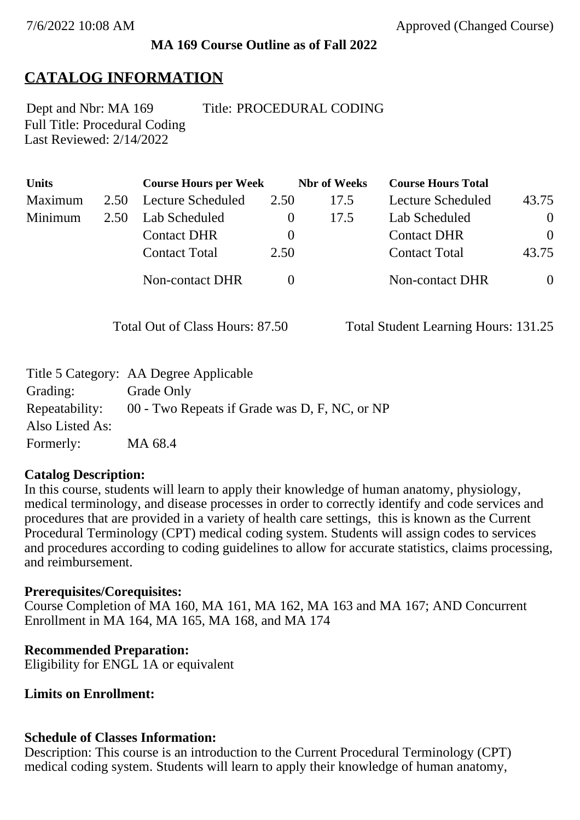### **MA 169 Course Outline as of Fall 2022**

## **CATALOG INFORMATION**

Full Title: Procedural Coding Last Reviewed: 2/14/2022 Dept and Nbr: MA 169 Title: PROCEDURAL CODING

| <b>Units</b> |      | <b>Course Hours per Week</b> |          | <b>Nbr</b> of Weeks | <b>Course Hours Total</b> |                |
|--------------|------|------------------------------|----------|---------------------|---------------------------|----------------|
| Maximum      | 2.50 | Lecture Scheduled            | 2.50     | 17.5                | Lecture Scheduled         | 43.75          |
| Minimum      | 2.50 | Lab Scheduled                | $\theta$ | 17.5                | Lab Scheduled             | $\overline{0}$ |
|              |      | <b>Contact DHR</b>           | $\theta$ |                     | <b>Contact DHR</b>        | $\theta$       |
|              |      | <b>Contact Total</b>         | 2.50     |                     | <b>Contact Total</b>      | 43.75          |
|              |      | Non-contact DHR              |          |                     | Non-contact DHR           | $\overline{0}$ |

Total Out of Class Hours: 87.50 Total Student Learning Hours: 131.25

|                 | Title 5 Category: AA Degree Applicable        |
|-----------------|-----------------------------------------------|
| Grading:        | Grade Only                                    |
| Repeatability:  | 00 - Two Repeats if Grade was D, F, NC, or NP |
| Also Listed As: |                                               |
| Formerly:       | MA 68.4                                       |

### **Catalog Description:**

In this course, students will learn to apply their knowledge of human anatomy, physiology, medical terminology, and disease processes in order to correctly identify and code services and procedures that are provided in a variety of health care settings, this is known as the Current Procedural Terminology (CPT) medical coding system. Students will assign codes to services and procedures according to coding guidelines to allow for accurate statistics, claims processing, and reimbursement.

### **Prerequisites/Corequisites:**

Course Completion of MA 160, MA 161, MA 162, MA 163 and MA 167; AND Concurrent Enrollment in MA 164, MA 165, MA 168, and MA 174

### **Recommended Preparation:**

Eligibility for ENGL 1A or equivalent

### **Limits on Enrollment:**

### **Schedule of Classes Information:**

Description: This course is an introduction to the Current Procedural Terminology (CPT) medical coding system. Students will learn to apply their knowledge of human anatomy,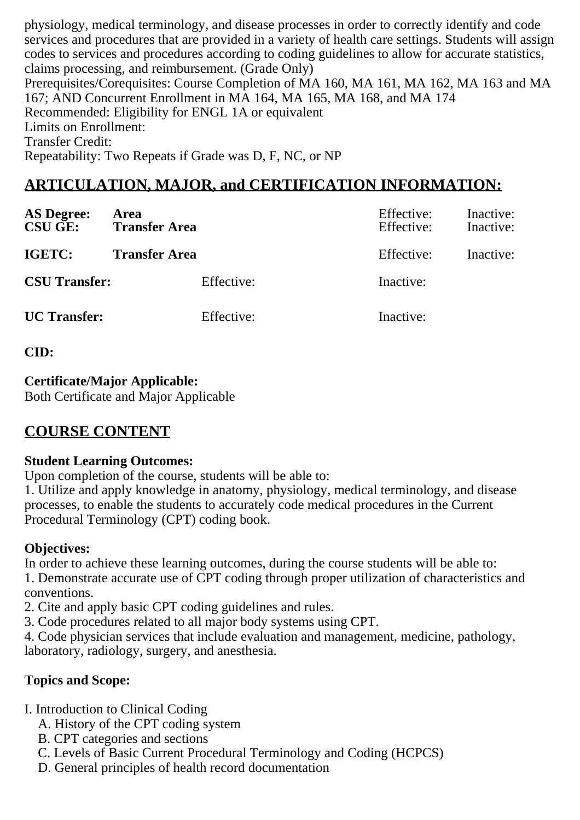physiology, medical terminology, and disease processes in order to correctly identify and code services and procedures that are provided in a variety of health care settings. Students will assign codes to services and procedures according to coding guidelines to allow for accurate statistics, claims processing, and reimbursement. (Grade Only) Prerequisites/Corequisites: Course Completion of MA 160, MA 161, MA 162, MA 163 and MA 167; AND Concurrent Enrollment in MA 164, MA 165, MA 168, and MA 174 Recommended: Eligibility for ENGL 1A or equivalent Limits on Enrollment: Transfer Credit: Repeatability: Two Repeats if Grade was D, F, NC, or NP

# **ARTICULATION, MAJOR, and CERTIFICATION INFORMATION:**

| <b>AS Degree:</b><br><b>CSU GE:</b> | Area<br><b>Transfer Area</b> | Effective:<br>Effective: | Inactive:<br>Inactive: |
|-------------------------------------|------------------------------|--------------------------|------------------------|
| IGETC:                              | <b>Transfer Area</b>         | Effective:               | Inactive:              |
| <b>CSU Transfer:</b>                | Effective:                   | Inactive:                |                        |
| <b>UC</b> Transfer:                 | Effective:                   | Inactive:                |                        |

**CID:**

# **Certificate/Major Applicable:**

[Both Certificate and Major Applicable](SR_ClassCheck.aspx?CourseKey=MA169)

# **COURSE CONTENT**

### **Student Learning Outcomes:**

Upon completion of the course, students will be able to:

1. Utilize and apply knowledge in anatomy, physiology, medical terminology, and disease processes, to enable the students to accurately code medical procedures in the Current Procedural Terminology (CPT) coding book.

## **Objectives:**

In order to achieve these learning outcomes, during the course students will be able to: 1. Demonstrate accurate use of CPT coding through proper utilization of characteristics and conventions.

2. Cite and apply basic CPT coding guidelines and rules.

3. Code procedures related to all major body systems using CPT.

4. Code physician services that include evaluation and management, medicine, pathology, laboratory, radiology, surgery, and anesthesia.

## **Topics and Scope:**

- I. Introduction to Clinical Coding
	- A. History of the CPT coding system
	- B. CPT categories and sections
	- C. Levels of Basic Current Procedural Terminology and Coding (HCPCS)
	- D. General principles of health record documentation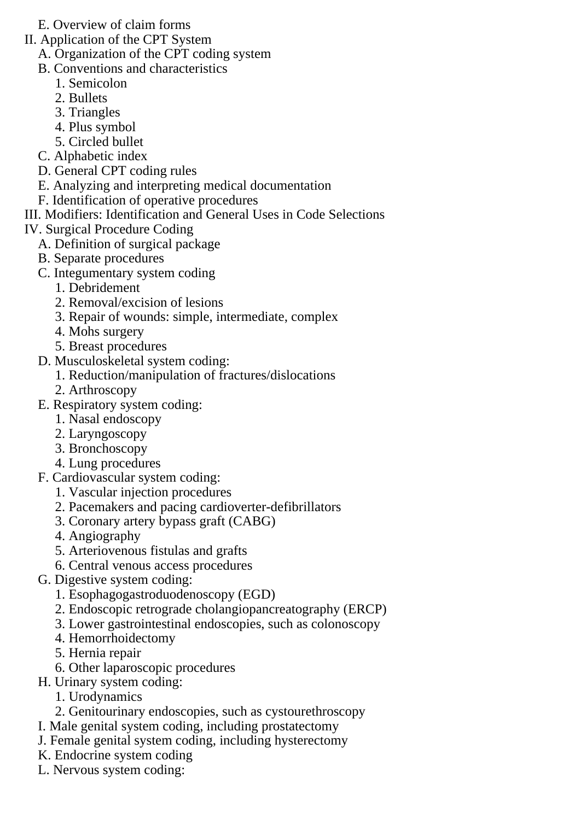- E. Overview of claim forms
- II. Application of the CPT System
	- A. Organization of the CPT coding system
	- B. Conventions and characteristics
		- 1. Semicolon
		- 2. Bullets
		- 3. Triangles
		- 4. Plus symbol
		- 5. Circled bullet
	- C. Alphabetic index
	- D. General CPT coding rules
	- E. Analyzing and interpreting medical documentation
	- F. Identification of operative procedures
- III. Modifiers: Identification and General Uses in Code Selections
- IV. Surgical Procedure Coding
	- A. Definition of surgical package
	- B. Separate procedures
	- C. Integumentary system coding
		- 1. Debridement
		- 2. Removal/excision of lesions
		- 3. Repair of wounds: simple, intermediate, complex
		- 4. Mohs surgery
		- 5. Breast procedures
	- D. Musculoskeletal system coding:
		- 1. Reduction/manipulation of fractures/dislocations
		- 2. Arthroscopy
	- E. Respiratory system coding:
		- 1. Nasal endoscopy
		- 2. Laryngoscopy
		- 3. Bronchoscopy
		- 4. Lung procedures
	- F. Cardiovascular system coding:
		- 1. Vascular injection procedures
		- 2. Pacemakers and pacing cardioverter-defibrillators
		- 3. Coronary artery bypass graft (CABG)
		- 4. Angiography
		- 5. Arteriovenous fistulas and grafts
		- 6. Central venous access procedures
	- G. Digestive system coding:
		- 1. Esophagogastroduodenoscopy (EGD)
		- 2. Endoscopic retrograde cholangiopancreatography (ERCP)
		- 3. Lower gastrointestinal endoscopies, such as colonoscopy
		- 4. Hemorrhoidectomy
		- 5. Hernia repair
		- 6. Other laparoscopic procedures
	- H. Urinary system coding:
		- 1. Urodynamics
		- 2. Genitourinary endoscopies, such as cystourethroscopy
	- I. Male genital system coding, including prostatectomy
	- J. Female genital system coding, including hysterectomy
	- K. Endocrine system coding
	- L. Nervous system coding: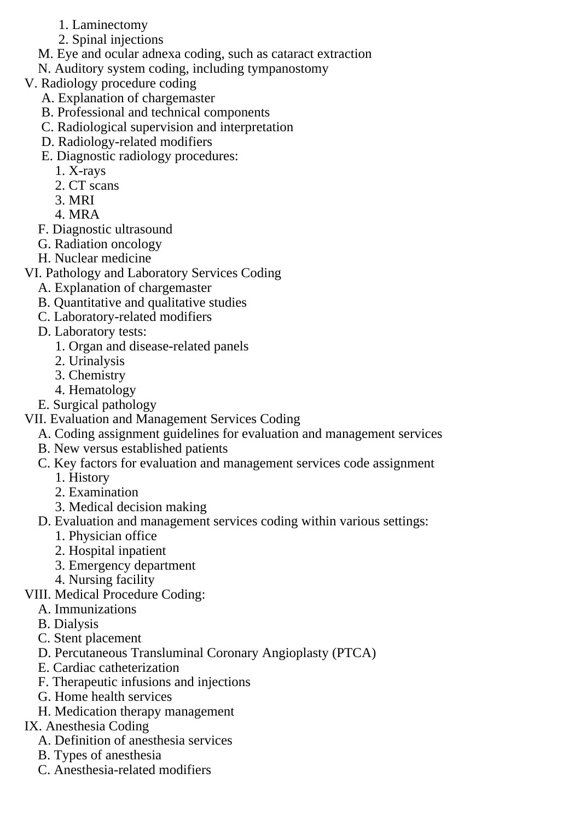- 1. Laminectomy
- 2. Spinal injections
- M. Eye and ocular adnexa coding, such as cataract extraction
- N. Auditory system coding, including tympanostomy
- V. Radiology procedure coding
	- A. Explanation of chargemaster
	- B. Professional and technical components
	- C. Radiological supervision and interpretation
	- D. Radiology-related modifiers
	- E. Diagnostic radiology procedures:
		- 1. X-rays
		- 2. CT scans
		- 3. MRI
		- 4. MRA
	- F. Diagnostic ultrasound
	- G. Radiation oncology
	- H. Nuclear medicine
- VI. Pathology and Laboratory Services Coding
	- A. Explanation of chargemaster
	- B. Quantitative and qualitative studies
	- C. Laboratory-related modifiers
	- D. Laboratory tests:
		- 1. Organ and disease-related panels
		- 2. Urinalysis
		- 3. Chemistry
		- 4. Hematology
	- E. Surgical pathology
- VII. Evaluation and Management Services Coding
	- A. Coding assignment guidelines for evaluation and management services
	- B. New versus established patients
	- C. Key factors for evaluation and management services code assignment
		- 1. History
		- 2. Examination
		- 3. Medical decision making
	- D. Evaluation and management services coding within various settings:
		- 1. Physician office
		- 2. Hospital inpatient
		- 3. Emergency department
		- 4. Nursing facility
- VIII. Medical Procedure Coding:
	- A. Immunizations
	- B. Dialysis
	- C. Stent placement
	- D. Percutaneous Transluminal Coronary Angioplasty (PTCA)
	- E. Cardiac catheterization
	- F. Therapeutic infusions and injections
	- G. Home health services
	- H. Medication therapy management
- IX. Anesthesia Coding
	- A. Definition of anesthesia services
	- B. Types of anesthesia
	- C. Anesthesia-related modifiers